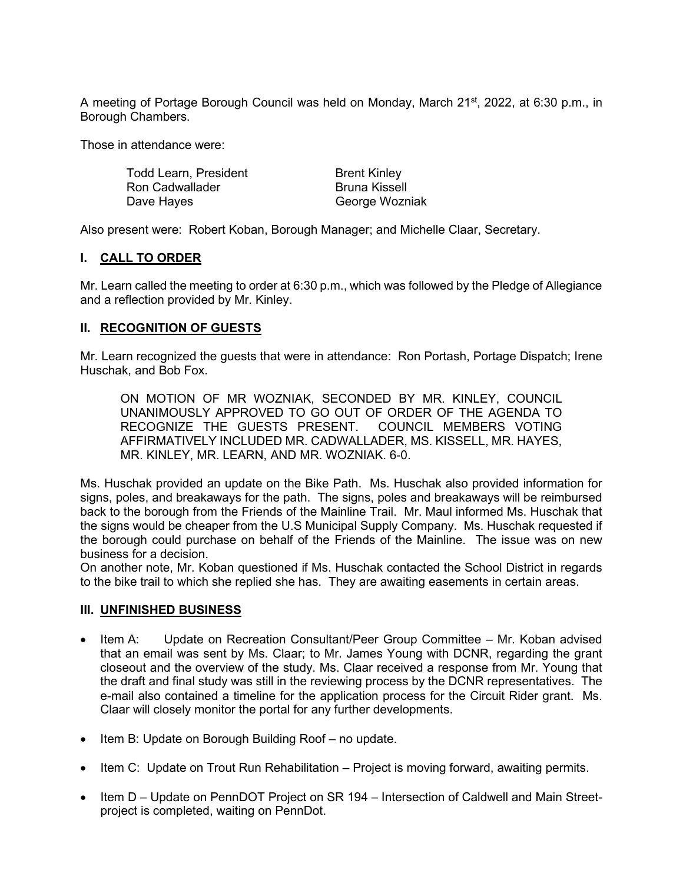A meeting of Portage Borough Council was held on Monday, March 21<sup>st</sup>, 2022, at 6:30 p.m., in Borough Chambers.

Those in attendance were:

Todd Learn, President Ron Cadwallader Dave Hayes Brent Kinley Bruna Kissell George Wozniak

Also present were: Robert Koban, Borough Manager; and Michelle Claar, Secretary.

## **I. CALL TO ORDER**

Mr. Learn called the meeting to order at 6:30 p.m., which was followed by the Pledge of Allegiance and a reflection provided by Mr. Kinley.

## **II. RECOGNITION OF GUESTS**

Mr. Learn recognized the guests that were in attendance: Ron Portash, Portage Dispatch; Irene Huschak, and Bob Fox.

ON MOTION OF MR WOZNIAK, SECONDED BY MR. KINLEY, COUNCIL UNANIMOUSLY APPROVED TO GO OUT OF ORDER OF THE AGENDA TO RECOGNIZE THE GUESTS PRESENT. COUNCIL MEMBERS VOTING AFFIRMATIVELY INCLUDED MR. CADWALLADER, MS. KISSELL, MR. HAYES, MR. KINLEY, MR. LEARN, AND MR. WOZNIAK. 6-0.

Ms. Huschak provided an update on the Bike Path. Ms. Huschak also provided information for signs, poles, and breakaways for the path. The signs, poles and breakaways will be reimbursed back to the borough from the Friends of the Mainline Trail. Mr. Maul informed Ms. Huschak that the signs would be cheaper from the U.S Municipal Supply Company. Ms. Huschak requested if the borough could purchase on behalf of the Friends of the Mainline. The issue was on new business for a decision.

On another note, Mr. Koban questioned if Ms. Huschak contacted the School District in regards to the bike trail to which she replied she has. They are awaiting easements in certain areas.

### **III. UNFINISHED BUSINESS**

- Item A: Update on Recreation Consultant/Peer Group Committee Mr. Koban advised that an email was sent by Ms. Claar; to Mr. James Young with DCNR, regarding the grant closeout and the overview of the study. Ms. Claar received a response from Mr. Young that the draft and final study was still in the reviewing process by the DCNR representatives. The e-mail also contained a timeline for the application process for the Circuit Rider grant. Ms. Claar will closely monitor the portal for any further developments.
- Item B: Update on Borough Building Roof no update.
- Item C: Update on Trout Run Rehabilitation Project is moving forward, awaiting permits.
- Item D Update on PennDOT Project on SR 194 Intersection of Caldwell and Main Streetproject is completed, waiting on PennDot.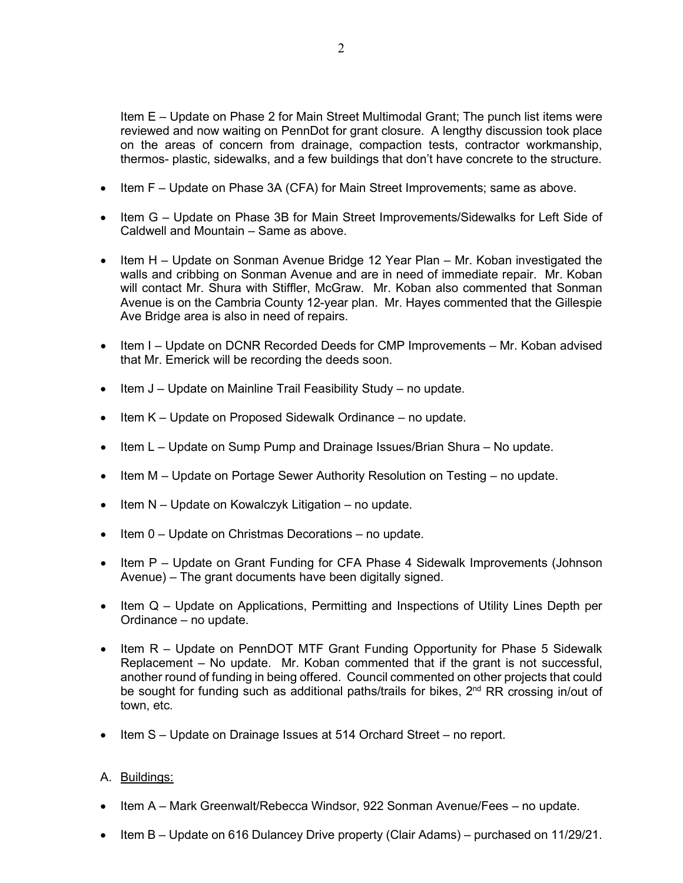Item E – Update on Phase 2 for Main Street Multimodal Grant; The punch list items were reviewed and now waiting on PennDot for grant closure. A lengthy discussion took place on the areas of concern from drainage, compaction tests, contractor workmanship, thermos- plastic, sidewalks, and a few buildings that don't have concrete to the structure.

- Item F Update on Phase 3A (CFA) for Main Street Improvements; same as above.
- Item G Update on Phase 3B for Main Street Improvements/Sidewalks for Left Side of Caldwell and Mountain – Same as above.
- Item H Update on Sonman Avenue Bridge 12 Year Plan Mr. Koban investigated the walls and cribbing on Sonman Avenue and are in need of immediate repair. Mr. Koban will contact Mr. Shura with Stiffler, McGraw. Mr. Koban also commented that Sonman Avenue is on the Cambria County 12-year plan. Mr. Hayes commented that the Gillespie Ave Bridge area is also in need of repairs.
- Item I Update on DCNR Recorded Deeds for CMP Improvements Mr. Koban advised that Mr. Emerick will be recording the deeds soon.
- Item J Update on Mainline Trail Feasibility Study no update.
- Item K Update on Proposed Sidewalk Ordinance no update.
- Item L Update on Sump Pump and Drainage Issues/Brian Shura No update.
- Item M Update on Portage Sewer Authority Resolution on Testing no update.
- Item N Update on Kowalczyk Litigation no update.
- Item 0 Update on Christmas Decorations no update.
- Item P Update on Grant Funding for CFA Phase 4 Sidewalk Improvements (Johnson Avenue) – The grant documents have been digitally signed.
- Item Q Update on Applications, Permitting and Inspections of Utility Lines Depth per Ordinance – no update.
- Item R Update on PennDOT MTF Grant Funding Opportunity for Phase 5 Sidewalk Replacement – No update. Mr. Koban commented that if the grant is not successful, another round of funding in being offered. Council commented on other projects that could be sought for funding such as additional paths/trails for bikes, 2<sup>nd</sup> RR crossing in/out of town, etc.
- Item S Update on Drainage Issues at 514 Orchard Street no report.

# A. Buildings:

- Item A Mark Greenwalt/Rebecca Windsor, 922 Sonman Avenue/Fees no update.
- Item B Update on 616 Dulancey Drive property (Clair Adams) purchased on 11/29/21.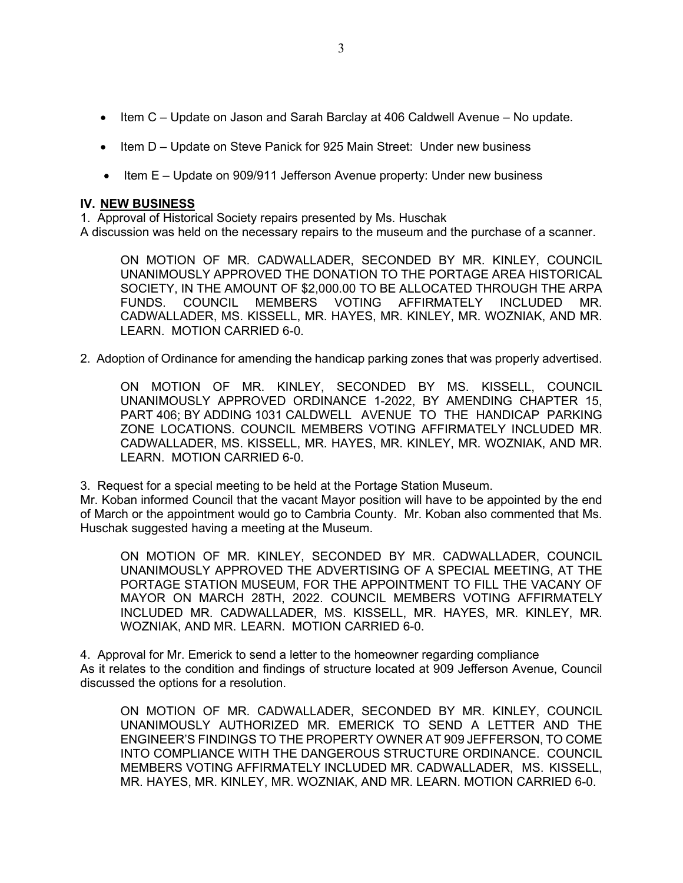- Item C Update on Jason and Sarah Barclay at 406 Caldwell Avenue No update.
- Item D Update on Steve Panick for 925 Main Street: Under new business
- Item E Update on 909/911 Jefferson Avenue property: Under new business

#### **IV. NEW BUSINESS**

1. Approval of Historical Society repairs presented by Ms. Huschak

A discussion was held on the necessary repairs to the museum and the purchase of a scanner.

ON MOTION OF MR. CADWALLADER, SECONDED BY MR. KINLEY, COUNCIL UNANIMOUSLY APPROVED THE DONATION TO THE PORTAGE AREA HISTORICAL SOCIETY, IN THE AMOUNT OF \$2,000.00 TO BE ALLOCATED THROUGH THE ARPA FUNDS. COUNCIL MEMBERS VOTING AFFIRMATELY INCLUDED MR. CADWALLADER, MS. KISSELL, MR. HAYES, MR. KINLEY, MR. WOZNIAK, AND MR. LEARN. MOTION CARRIED 6-0.

2. Adoption of Ordinance for amending the handicap parking zones that was properly advertised.

ON MOTION OF MR. KINLEY, SECONDED BY MS. KISSELL, COUNCIL UNANIMOUSLY APPROVED ORDINANCE 1-2022, BY AMENDING CHAPTER 15, PART 406; BY ADDING 1031 CALDWELL AVENUE TO THE HANDICAP PARKING ZONE LOCATIONS. COUNCIL MEMBERS VOTING AFFIRMATELY INCLUDED MR. CADWALLADER, MS. KISSELL, MR. HAYES, MR. KINLEY, MR. WOZNIAK, AND MR. LEARN. MOTION CARRIED 6-0.

3. Request for a special meeting to be held at the Portage Station Museum.

Mr. Koban informed Council that the vacant Mayor position will have to be appointed by the end of March or the appointment would go to Cambria County. Mr. Koban also commented that Ms. Huschak suggested having a meeting at the Museum.

ON MOTION OF MR. KINLEY, SECONDED BY MR. CADWALLADER, COUNCIL UNANIMOUSLY APPROVED THE ADVERTISING OF A SPECIAL MEETING, AT THE PORTAGE STATION MUSEUM, FOR THE APPOINTMENT TO FILL THE VACANY OF MAYOR ON MARCH 28TH, 2022. COUNCIL MEMBERS VOTING AFFIRMATELY INCLUDED MR. CADWALLADER, MS. KISSELL, MR. HAYES, MR. KINLEY, MR. WOZNIAK, AND MR. LEARN. MOTION CARRIED 6-0.

4. Approval for Mr. Emerick to send a letter to the homeowner regarding compliance As it relates to the condition and findings of structure located at 909 Jefferson Avenue, Council discussed the options for a resolution.

ON MOTION OF MR. CADWALLADER, SECONDED BY MR. KINLEY, COUNCIL UNANIMOUSLY AUTHORIZED MR. EMERICK TO SEND A LETTER AND THE ENGINEER'S FINDINGS TO THE PROPERTY OWNER AT 909 JEFFERSON, TO COME INTO COMPLIANCE WITH THE DANGEROUS STRUCTURE ORDINANCE. COUNCIL MEMBERS VOTING AFFIRMATELY INCLUDED MR. CADWALLADER, MS. KISSELL, MR. HAYES, MR. KINLEY, MR. WOZNIAK, AND MR. LEARN. MOTION CARRIED 6-0.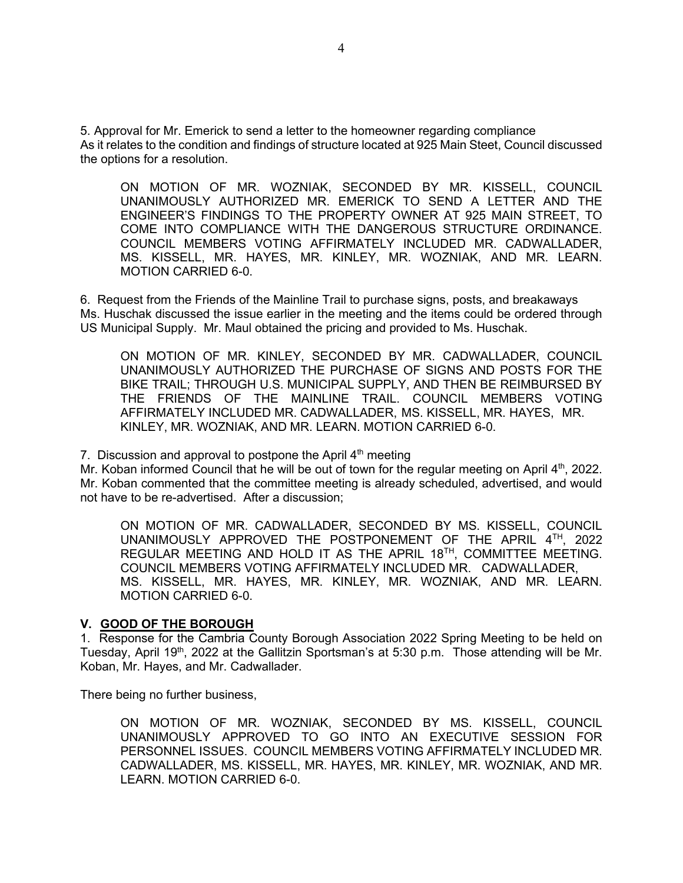5. Approval for Mr. Emerick to send a letter to the homeowner regarding compliance As it relates to the condition and findings of structure located at 925 Main Steet, Council discussed the options for a resolution.

ON MOTION OF MR. WOZNIAK, SECONDED BY MR. KISSELL, COUNCIL UNANIMOUSLY AUTHORIZED MR. EMERICK TO SEND A LETTER AND THE ENGINEER'S FINDINGS TO THE PROPERTY OWNER AT 925 MAIN STREET, TO COME INTO COMPLIANCE WITH THE DANGEROUS STRUCTURE ORDINANCE. COUNCIL MEMBERS VOTING AFFIRMATELY INCLUDED MR. CADWALLADER, MS. KISSELL, MR. HAYES, MR. KINLEY, MR. WOZNIAK, AND MR. LEARN. MOTION CARRIED 6-0.

6. Request from the Friends of the Mainline Trail to purchase signs, posts, and breakaways Ms. Huschak discussed the issue earlier in the meeting and the items could be ordered through US Municipal Supply. Mr. Maul obtained the pricing and provided to Ms. Huschak.

ON MOTION OF MR. KINLEY, SECONDED BY MR. CADWALLADER, COUNCIL UNANIMOUSLY AUTHORIZED THE PURCHASE OF SIGNS AND POSTS FOR THE BIKE TRAIL; THROUGH U.S. MUNICIPAL SUPPLY, AND THEN BE REIMBURSED BY THE FRIENDS OF THE MAINLINE TRAIL. COUNCIL MEMBERS VOTING AFFIRMATELY INCLUDED MR. CADWALLADER, MS. KISSELL, MR. HAYES, MR. KINLEY, MR. WOZNIAK, AND MR. LEARN. MOTION CARRIED 6-0.

7. Discussion and approval to postpone the April  $4<sup>th</sup>$  meeting

Mr. Koban informed Council that he will be out of town for the regular meeting on April 4<sup>th</sup>, 2022. Mr. Koban commented that the committee meeting is already scheduled, advertised, and would not have to be re-advertised. After a discussion;

ON MOTION OF MR. CADWALLADER, SECONDED BY MS. KISSELL, COUNCIL UNANIMOUSLY APPROVED THE POSTPONEMENT OF THE APRIL 4TH, 2022 REGULAR MEETING AND HOLD IT AS THE APRIL 18TH, COMMITTEE MEETING. COUNCIL MEMBERS VOTING AFFIRMATELY INCLUDED MR. CADWALLADER, MS. KISSELL, MR. HAYES, MR. KINLEY, MR. WOZNIAK, AND MR. LEARN. MOTION CARRIED 6-0.

### **V. GOOD OF THE BOROUGH**

1. Response for the Cambria County Borough Association 2022 Spring Meeting to be held on Tuesday, April 19<sup>th</sup>, 2022 at the Gallitzin Sportsman's at 5:30 p.m. Those attending will be Mr. Koban, Mr. Hayes, and Mr. Cadwallader.

There being no further business,

ON MOTION OF MR. WOZNIAK, SECONDED BY MS. KISSELL, COUNCIL UNANIMOUSLY APPROVED TO GO INTO AN EXECUTIVE SESSION FOR PERSONNEL ISSUES. COUNCIL MEMBERS VOTING AFFIRMATELY INCLUDED MR. CADWALLADER, MS. KISSELL, MR. HAYES, MR. KINLEY, MR. WOZNIAK, AND MR. LEARN. MOTION CARRIED 6-0.